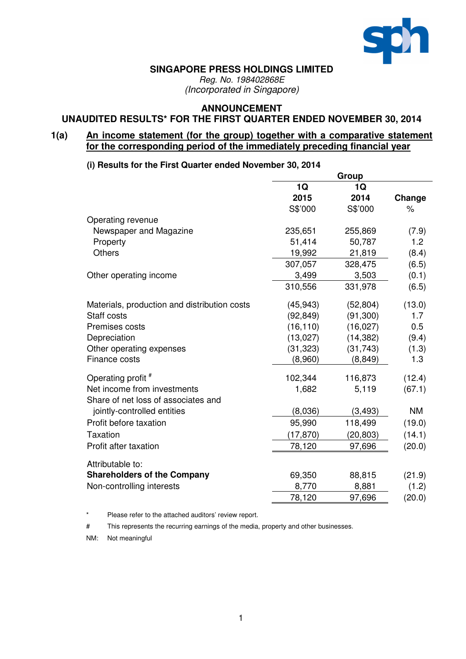

#### **SINGAPORE PRESS HOLDINGS LIMITED**

*Reg. No. 198402868E (Incorporated in Singapore)*

# **ANNOUNCEMENT**

#### **UNAUDITED RESULTS\* FOR THE FIRST QUARTER ENDED NOVEMBER 30, 2014**

#### **1(a) An income statement (for the group) together with a comparative statement for the corresponding period of the immediately preceding financial year**

**(i) Results for the First Quarter ended November 30, 2014**

|                                              |           | Group     |           |
|----------------------------------------------|-----------|-----------|-----------|
|                                              | 1Q        | 1Q        |           |
|                                              | 2015      | 2014      | Change    |
|                                              | S\$'000   | S\$'000   | $\%$      |
| Operating revenue                            |           |           |           |
| Newspaper and Magazine                       | 235,651   | 255,869   | (7.9)     |
| Property                                     | 51,414    | 50,787    | 1.2       |
| <b>Others</b>                                | 19,992    | 21,819    | (8.4)     |
|                                              | 307,057   | 328,475   | (6.5)     |
| Other operating income                       | 3,499     | 3,503     | (0.1)     |
|                                              | 310,556   | 331,978   | (6.5)     |
| Materials, production and distribution costs | (45, 943) | (52, 804) | (13.0)    |
| Staff costs                                  | (92, 849) | (91, 300) | 1.7       |
| Premises costs                               | (16, 110) | (16, 027) | 0.5       |
| Depreciation                                 | (13,027)  | (14, 382) | (9.4)     |
| Other operating expenses                     | (31, 323) | (31, 743) | (1.3)     |
| Finance costs                                | (8,960)   | (8, 849)  | 1.3       |
| Operating profit #                           | 102,344   | 116,873   | (12.4)    |
| Net income from investments                  | 1,682     | 5,119     | (67.1)    |
| Share of net loss of associates and          |           |           |           |
| jointly-controlled entities                  | (8,036)   | (3, 493)  | <b>NM</b> |
| Profit before taxation                       | 95,990    | 118,499   | (19.0)    |
| <b>Taxation</b>                              | (17, 870) | (20, 803) | (14.1)    |
| Profit after taxation                        | 78,120    | 97,696    | (20.0)    |
| Attributable to:                             |           |           |           |
| <b>Shareholders of the Company</b>           | 69,350    | 88,815    | (21.9)    |
| Non-controlling interests                    | 8,770     | 8,881     | (1.2)     |
|                                              | 78,120    | 97,696    | (20.0)    |

Please refer to the attached auditors' review report.

# This represents the recurring earnings of the media, property and other businesses.

NM: Not meaningful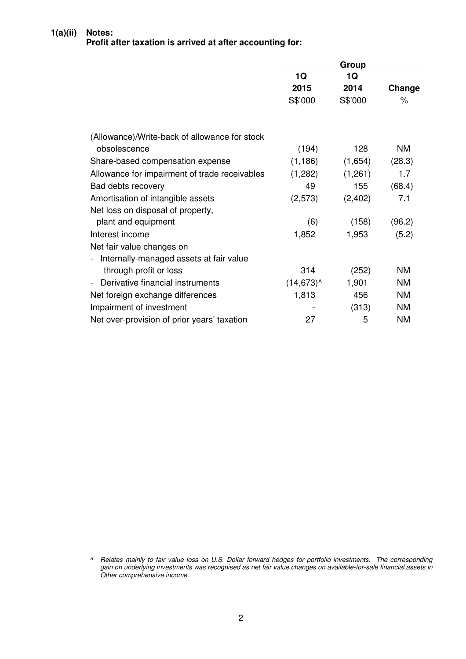#### **1(a)(ii) Notes:**

### **Profit after taxation is arrived at after accounting for:**

|                                               |                 | Group   |           |
|-----------------------------------------------|-----------------|---------|-----------|
|                                               | 1Q              | 1Q      |           |
|                                               | 2015            | 2014    | Change    |
|                                               | S\$'000         | S\$'000 | $\%$      |
| (Allowance)/Write-back of allowance for stock |                 |         |           |
| obsolescence                                  | (194)           | 128     | ΝM        |
| Share-based compensation expense              | (1, 186)        | (1,654) | (28.3)    |
| Allowance for impairment of trade receivables | (1,282)         | (1,261) | 1.7       |
| Bad debts recovery                            | 49              | 155     | (68.4)    |
| Amortisation of intangible assets             | (2,573)         | (2,402) | 7.1       |
| Net loss on disposal of property,             |                 |         |           |
| plant and equipment                           | (6)             | (158)   | (96.2)    |
| Interest income                               | 1,852           | 1,953   | (5.2)     |
| Net fair value changes on                     |                 |         |           |
| Internally-managed assets at fair value       |                 |         |           |
| through profit or loss                        | 314             | (252)   | <b>NM</b> |
| Derivative financial instruments              | $(14, 673)^{A}$ | 1,901   | <b>NM</b> |
| Net foreign exchange differences              | 1,813           | 456     | <b>NM</b> |
| Impairment of investment                      |                 | (313)   | <b>NM</b> |
| Net over-provision of prior years' taxation   | 27              | 5       | <b>NM</b> |

<sup>^</sup> Relates mainly to fair value loss on U.S. Dollar forward hedges for portfolio investments. The corresponding gain on underlying investments was recognised as net fair value changes on available-for-sale financial assets in *Other comprehensive income.*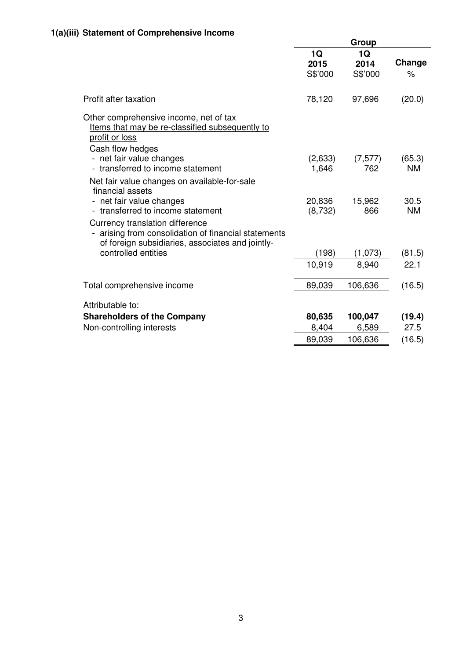|                                                                                                                                                             | Group                 |                       |                   |  |
|-------------------------------------------------------------------------------------------------------------------------------------------------------------|-----------------------|-----------------------|-------------------|--|
|                                                                                                                                                             | 1Q<br>2015<br>S\$'000 | 1Q<br>2014<br>S\$'000 | Change<br>$\%$    |  |
| Profit after taxation                                                                                                                                       | 78,120                | 97,696                | (20.0)            |  |
| Other comprehensive income, net of tax<br>Items that may be re-classified subsequently to<br>profit or loss<br>Cash flow hedges<br>- net fair value changes | (2,633)               | (7, 577)              | (65.3)            |  |
| - transferred to income statement                                                                                                                           | 1,646                 | 762                   | <b>NM</b>         |  |
| Net fair value changes on available-for-sale<br>financial assets<br>net fair value changes<br>transferred to income statement                               | 20,836<br>(8,732)     | 15,962<br>866         | 30.5<br><b>NM</b> |  |
| Currency translation difference<br>arising from consolidation of financial statements<br>of foreign subsidiaries, associates and jointly-                   |                       |                       |                   |  |
| controlled entities                                                                                                                                         | (198)                 | (1,073)               | (81.5)            |  |
|                                                                                                                                                             | 10,919                | 8,940                 | 22.1              |  |
| Total comprehensive income                                                                                                                                  | 89,039                | 106,636               | (16.5)            |  |
| Attributable to:                                                                                                                                            |                       |                       |                   |  |
| <b>Shareholders of the Company</b>                                                                                                                          | 80,635                | 100,047               | (19.4)            |  |
| Non-controlling interests                                                                                                                                   | 8,404                 | 6,589                 | 27.5              |  |
|                                                                                                                                                             | 89,039                | 106,636               | (16.5)            |  |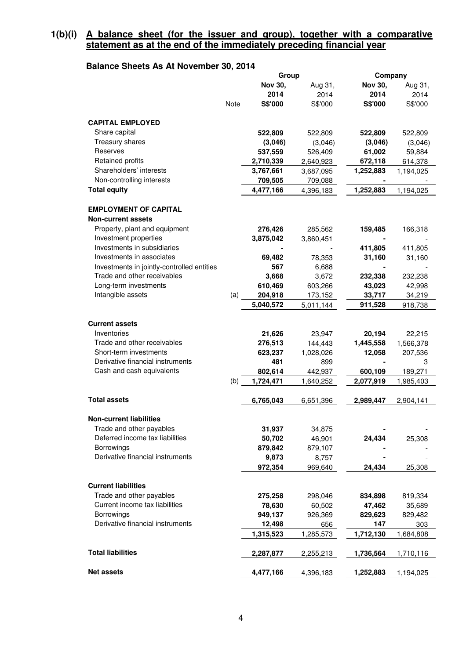#### **1(b)(i) A balance sheet (for the issuer and group), together with a comparative statement as at the end of the immediately preceding financial year**

# **Balance Sheets As At November 30, 2014**

|                                            |             | Group          |           | Company        |           |
|--------------------------------------------|-------------|----------------|-----------|----------------|-----------|
|                                            |             | <b>Nov 30,</b> | Aug 31,   | <b>Nov 30,</b> | Aug 31,   |
|                                            |             | 2014           | 2014      | 2014           | 2014      |
|                                            | <b>Note</b> | S\$'000        | S\$'000   | S\$'000        | S\$'000   |
|                                            |             |                |           |                |           |
| <b>CAPITAL EMPLOYED</b>                    |             |                |           |                |           |
| Share capital                              |             | 522,809        | 522,809   | 522,809        | 522,809   |
| Treasury shares                            |             | (3,046)        | (3,046)   | (3,046)        | (3,046)   |
| Reserves                                   |             | 537,559        | 526,409   | 61,002         | 59,884    |
| Retained profits                           |             | 2,710,339      | 2,640,923 | 672,118        | 614,378   |
| Shareholders' interests                    |             | 3,767,661      | 3,687,095 | 1,252,883      | 1,194,025 |
| Non-controlling interests                  |             | 709,505        | 709,088   |                |           |
| <b>Total equity</b>                        |             | 4,477,166      | 4,396,183 | 1,252,883      | 1,194,025 |
|                                            |             |                |           |                |           |
| <b>EMPLOYMENT OF CAPITAL</b>               |             |                |           |                |           |
|                                            |             |                |           |                |           |
| <b>Non-current assets</b>                  |             |                |           |                |           |
| Property, plant and equipment              |             | 276,426        | 285,562   | 159,485        | 166,318   |
| Investment properties                      |             | 3,875,042      | 3,860,451 |                |           |
| Investments in subsidiaries                |             |                |           | 411,805        | 411,805   |
| Investments in associates                  |             | 69,482         | 78,353    | 31,160         | 31,160    |
| Investments in jointly-controlled entities |             | 567            | 6,688     |                |           |
| Trade and other receivables                |             | 3,668          | 3,672     | 232,338        | 232,238   |
| Long-term investments                      |             | 610,469        | 603,266   | 43,023         | 42,998    |
| Intangible assets                          | (a)         | 204,918        | 173,152   | 33,717         | 34,219    |
|                                            |             | 5,040,572      | 5,011,144 | 911,528        | 918,738   |
|                                            |             |                |           |                |           |
| <b>Current assets</b>                      |             |                |           |                |           |
| Inventories                                |             | 21,626         | 23,947    | 20,194         | 22,215    |
| Trade and other receivables                |             | 276,513        | 144,443   | 1,445,558      | 1,566,378 |
| Short-term investments                     |             | 623,237        | 1,028,026 | 12,058         | 207,536   |
| Derivative financial instruments           |             | 481            | 899       | $\blacksquare$ | 3         |
| Cash and cash equivalents                  |             | 802,614        | 442,937   | 600,109        | 189,271   |
|                                            | (b)         | 1,724,471      | 1,640,252 | 2,077,919      | 1,985,403 |
|                                            |             |                |           |                |           |
| <b>Total assets</b>                        |             | 6,765,043      | 6,651,396 | 2,989,447      | 2,904,141 |
|                                            |             |                |           |                |           |
| <b>Non-current liabilities</b>             |             |                |           |                |           |
| Trade and other payables                   |             |                |           |                |           |
| Deferred income tax liabilities            |             | 31,937         | 34,875    |                |           |
| Borrowings                                 |             | 50,702         | 46,901    | 24,434         | 25,308    |
| Derivative financial instruments           |             | 879,842        | 879,107   |                |           |
|                                            |             | 9,873          | 8,757     |                |           |
|                                            |             | 972,354        | 969,640   | 24,434         | 25,308    |
|                                            |             |                |           |                |           |
| <b>Current liabilities</b>                 |             |                |           |                |           |
| Trade and other payables                   |             | 275,258        | 298,046   | 834,898        | 819,334   |
| Current income tax liabilities             |             | 78,630         | 60,502    | 47,462         | 35,689    |
| Borrowings                                 |             | 949,137        | 926,369   | 829,623        | 829,482   |
| Derivative financial instruments           |             | 12,498         | 656       | 147            | 303       |
|                                            |             | 1,315,523      | 1,285,573 | 1,712,130      | 1,684,808 |
|                                            |             |                |           |                |           |
| <b>Total liabilities</b>                   |             | 2,287,877      | 2,255,213 | 1,736,564      | 1,710,116 |
|                                            |             |                |           |                |           |
| <b>Net assets</b>                          |             | 4,477,166      | 4,396,183 | 1,252,883      | 1,194,025 |
|                                            |             |                |           |                |           |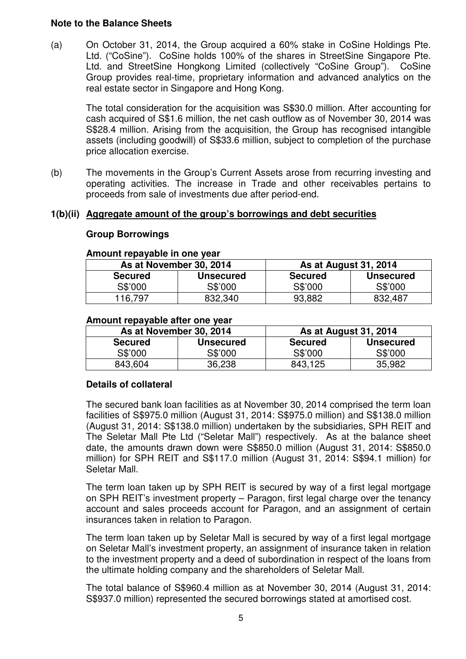### **Note to the Balance Sheets**

(a) On October 31, 2014, the Group acquired a 60% stake in CoSine Holdings Pte. Ltd. ("CoSine"). CoSine holds 100% of the shares in StreetSine Singapore Pte. Ltd. and StreetSine Hongkong Limited (collectively "CoSine Group"). CoSine Group provides real-time, proprietary information and advanced analytics on the real estate sector in Singapore and Hong Kong.

The total consideration for the acquisition was S\$30.0 million. After accounting for cash acquired of S\$1.6 million, the net cash outflow as of November 30, 2014 was S\$28.4 million. Arising from the acquisition, the Group has recognised intangible assets (including goodwill) of S\$33.6 million, subject to completion of the purchase price allocation exercise.

(b) The movements in the Group's Current Assets arose from recurring investing and operating activities. The increase in Trade and other receivables pertains to proceeds from sale of investments due after period-end.

#### **1(b)(ii) Aggregate amount of the group's borrowings and debt securities**

#### **Group Borrowings**

#### **Amount repayable in one year**

|                | As at November 30, 2014 | <b>As at August 31, 2014</b> |                  |  |  |
|----------------|-------------------------|------------------------------|------------------|--|--|
| <b>Secured</b> | <b>Unsecured</b>        | <b>Secured</b>               | <b>Unsecured</b> |  |  |
| S\$'000        | S\$'000                 | S\$'000                      | S\$'000          |  |  |
| 116,797        | 832,340                 | 93,882                       | 832,487          |  |  |

#### **Amount repayable after one year**

| As at November 30, 2014 |                  | <b>As at August 31, 2014</b> |                  |  |  |
|-------------------------|------------------|------------------------------|------------------|--|--|
| <b>Secured</b>          | <b>Unsecured</b> | <b>Secured</b>               | <b>Unsecured</b> |  |  |
| S\$'000                 | S\$'000          | S\$'000                      | S\$'000          |  |  |
| 843,604                 | 36,238           | 843,125                      | 35,982           |  |  |

#### **Details of collateral**

The secured bank loan facilities as at November 30, 2014 comprised the term loan facilities of S\$975.0 million (August 31, 2014: S\$975.0 million) and S\$138.0 million (August 31, 2014: S\$138.0 million) undertaken by the subsidiaries, SPH REIT and The Seletar Mall Pte Ltd ("Seletar Mall") respectively. As at the balance sheet date, the amounts drawn down were S\$850.0 million (August 31, 2014: S\$850.0 million) for SPH REIT and S\$117.0 million (August 31, 2014: S\$94.1 million) for Seletar Mall.

The term loan taken up by SPH REIT is secured by way of a first legal mortgage on SPH REIT's investment property – Paragon, first legal charge over the tenancy account and sales proceeds account for Paragon, and an assignment of certain insurances taken in relation to Paragon.

The term loan taken up by Seletar Mall is secured by way of a first legal mortgage on Seletar Mall's investment property, an assignment of insurance taken in relation to the investment property and a deed of subordination in respect of the loans from the ultimate holding company and the shareholders of Seletar Mall.

The total balance of S\$960.4 million as at November 30, 2014 (August 31, 2014: S\$937.0 million) represented the secured borrowings stated at amortised cost.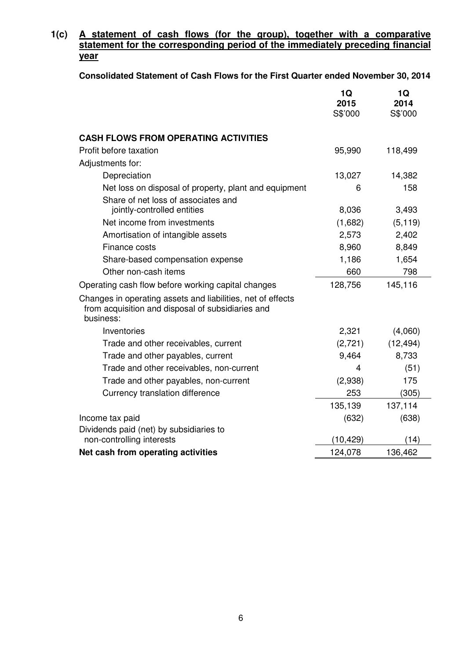# **1(c) A statement of cash flows (for the group), together with a comparative statement for the corresponding period of the immediately preceding financial year**

**Consolidated Statement of Cash Flows for the First Quarter ended November 30, 2014**

|                                                                                                                               | 1Q<br>2015<br>S\$'000 | 1Q<br>2014<br>S\$'000 |
|-------------------------------------------------------------------------------------------------------------------------------|-----------------------|-----------------------|
| <b>CASH FLOWS FROM OPERATING ACTIVITIES</b>                                                                                   |                       |                       |
| Profit before taxation                                                                                                        | 95,990                | 118,499               |
| Adjustments for:                                                                                                              |                       |                       |
| Depreciation                                                                                                                  | 13,027                | 14,382                |
| Net loss on disposal of property, plant and equipment                                                                         | 6                     | 158                   |
| Share of net loss of associates and<br>jointly-controlled entities                                                            | 8,036                 | 3,493                 |
| Net income from investments                                                                                                   | (1,682)               | (5, 119)              |
| Amortisation of intangible assets                                                                                             | 2,573                 | 2,402                 |
| Finance costs                                                                                                                 | 8,960                 | 8,849                 |
| Share-based compensation expense                                                                                              | 1,186                 | 1,654                 |
| Other non-cash items                                                                                                          | 660                   | 798                   |
| Operating cash flow before working capital changes                                                                            | 128,756               | 145,116               |
| Changes in operating assets and liabilities, net of effects<br>from acquisition and disposal of subsidiaries and<br>business: |                       |                       |
| Inventories                                                                                                                   | 2,321                 | (4,060)               |
| Trade and other receivables, current                                                                                          | (2, 721)              | (12, 494)             |
| Trade and other payables, current                                                                                             | 9,464                 | 8,733                 |
| Trade and other receivables, non-current                                                                                      | 4                     | (51)                  |
| Trade and other payables, non-current                                                                                         | (2,938)               | 175                   |
| Currency translation difference                                                                                               | 253                   | (305)                 |
|                                                                                                                               | 135,139               | 137,114               |
| Income tax paid                                                                                                               | (632)                 | (638)                 |
| Dividends paid (net) by subsidiaries to<br>non-controlling interests                                                          | (10, 429)             | (14)                  |
| Net cash from operating activities                                                                                            | 124,078               | 136,462               |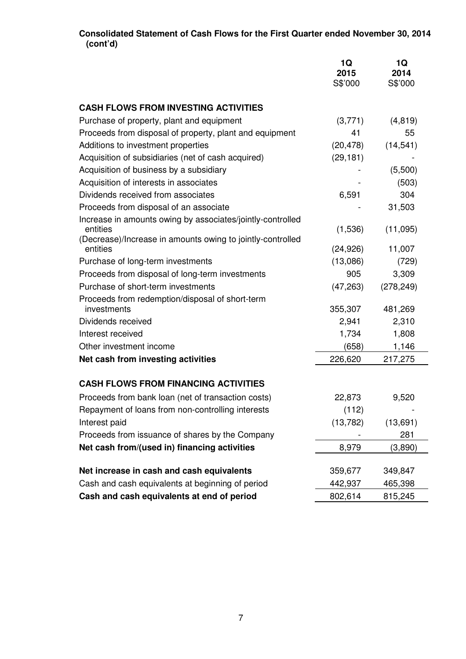#### **Consolidated Statement of Cash Flows for the First Quarter ended November 30, 2014 (cont'd)**

|                                                                        | 1Q<br>2015<br>S\$'000 | 1Q<br>2014<br>S\$'000 |
|------------------------------------------------------------------------|-----------------------|-----------------------|
|                                                                        |                       |                       |
| <b>CASH FLOWS FROM INVESTING ACTIVITIES</b>                            |                       |                       |
| Purchase of property, plant and equipment                              | (3,771)               | (4, 819)              |
| Proceeds from disposal of property, plant and equipment                | 41                    | 55                    |
| Additions to investment properties                                     | (20, 478)             | (14, 541)             |
| Acquisition of subsidiaries (net of cash acquired)                     | (29, 181)             |                       |
| Acquisition of business by a subsidiary                                |                       | (5,500)               |
| Acquisition of interests in associates                                 |                       | (503)                 |
| Dividends received from associates                                     | 6,591                 | 304                   |
| Proceeds from disposal of an associate                                 |                       | 31,503                |
| Increase in amounts owing by associates/jointly-controlled             |                       |                       |
| entities<br>(Decrease)/Increase in amounts owing to jointly-controlled | (1,536)               | (11,095)              |
| entities                                                               | (24, 926)             | 11,007                |
| Purchase of long-term investments                                      | (13,086)              | (729)                 |
| Proceeds from disposal of long-term investments                        | 905                   | 3,309                 |
| Purchase of short-term investments                                     | (47, 263)             | (278, 249)            |
| Proceeds from redemption/disposal of short-term<br>investments         | 355,307               | 481,269               |
| Dividends received                                                     | 2,941                 | 2,310                 |
| Interest received                                                      | 1,734                 | 1,808                 |
| Other investment income                                                | (658)                 | 1,146                 |
| Net cash from investing activities                                     | 226,620               | 217,275               |
|                                                                        |                       |                       |
| <b>CASH FLOWS FROM FINANCING ACTIVITIES</b>                            |                       |                       |
| Proceeds from bank loan (net of transaction costs)                     | 22,873                | 9,520                 |
| Repayment of loans from non-controlling interests                      | (112)                 |                       |
| Interest paid                                                          | (13, 782)             | (13,691)              |
| Proceeds from issuance of shares by the Company                        |                       | 281                   |
| Net cash from/(used in) financing activities                           | 8,979                 | (3,890)               |
| Net increase in cash and cash equivalents                              | 359,677               | 349,847               |
| Cash and cash equivalents at beginning of period                       | 442,937               | 465,398               |
| Cash and cash equivalents at end of period                             | 802,614               | 815,245               |
|                                                                        |                       |                       |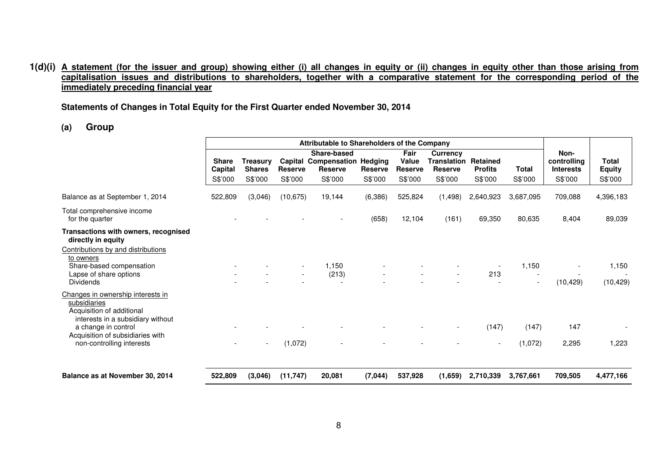#### 1(d)(i) A statement (for the issuer and group) showing either (i) all changes in equity or (ii) changes in equity other than those arising from capitalisation issues and distributions to shareholders, together with a comparative statement for the corresponding period of the **immediately preceding financial year**

**Statements of Changes in Total Equity for the First Quarter ended November 30, 2014**

**(a) Group**

| Attributable to Shareholders of the Company |                                             |                                      |                                          |                                   |                                            |                                       |                                       |                                   |                                                    |                                          |
|---------------------------------------------|---------------------------------------------|--------------------------------------|------------------------------------------|-----------------------------------|--------------------------------------------|---------------------------------------|---------------------------------------|-----------------------------------|----------------------------------------------------|------------------------------------------|
| <b>Share</b><br>Capital<br>S\$'000          | <b>Treasury</b><br><b>Shares</b><br>S\$'000 | Capital<br><b>Reserve</b><br>S\$'000 | Share-based<br><b>Reserve</b><br>S\$'000 | <b>Reserve</b><br>S\$'000         | Fair<br>Value<br><b>Reserve</b><br>S\$'000 | Currency<br><b>Reserve</b><br>S\$'000 | Retained<br><b>Profits</b><br>S\$'000 | <b>Total</b><br>S\$'000           | Non-<br>controlling<br><b>Interests</b><br>S\$'000 | <b>Total</b><br><b>Equity</b><br>S\$'000 |
| 522,809                                     | (3,046)                                     |                                      | 19,144                                   | (6,386)                           | 525,824                                    | (1, 498)                              | 2,640,923                             | 3,687,095                         | 709,088                                            | 4,396,183                                |
|                                             |                                             |                                      |                                          | (658)                             | 12,104                                     | (161)                                 | 69,350                                | 80,635                            | 8,404                                              | 89,039                                   |
|                                             |                                             |                                      |                                          |                                   |                                            |                                       |                                       |                                   |                                                    |                                          |
|                                             |                                             |                                      | 1,150<br>(213)                           |                                   |                                            |                                       | 213                                   | 1,150<br>$\overline{\phantom{a}}$ | (10, 429)                                          | 1,150<br>(10, 429)                       |
|                                             |                                             |                                      |                                          |                                   |                                            |                                       | (147)<br>$\overline{\phantom{a}}$     | (147)<br>(1,072)                  | 147<br>2,295                                       | 1,223                                    |
| 522,809                                     | (3,046)                                     |                                      | 20,081                                   | (7,044)                           | 537,928                                    | (1,659)                               | 2,710,339                             | 3,767,661                         | 709,505                                            | 4,477,166                                |
|                                             |                                             |                                      |                                          | (10, 675)<br>(1,072)<br>(11, 747) | <b>Compensation Hedging</b>                |                                       |                                       | <b>Translation</b>                |                                                    |                                          |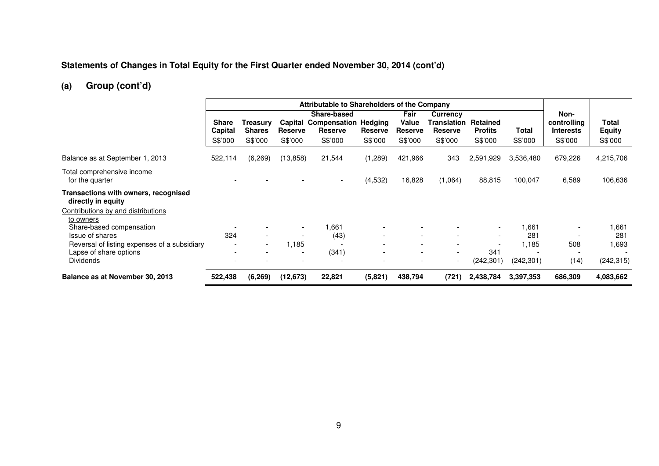#### **Statements of Changes in Total Equity for the First Quarter ended November 30, 2014 (cont'd)**

# **(a) Group (cont'd)**

|                                                                        | Attributable to Shareholders of the Company |                                                      |                                      |                                                                         |                                                      |                                                      |                                                             |                                                      |                  |                                                    |                                   |
|------------------------------------------------------------------------|---------------------------------------------|------------------------------------------------------|--------------------------------------|-------------------------------------------------------------------------|------------------------------------------------------|------------------------------------------------------|-------------------------------------------------------------|------------------------------------------------------|------------------|----------------------------------------------------|-----------------------------------|
|                                                                        | <b>Share</b><br>Capital<br>S\$'000          | Treasurv<br><b>Shares</b><br>S\$'000                 | Capital<br><b>Reserve</b><br>S\$'000 | Share-based<br><b>Compensation Hedging</b><br><b>Reserve</b><br>S\$'000 | <b>Reserve</b><br>S\$'000                            | Fair<br>Value<br><b>Reserve</b><br>S\$'000           | <b>Currency</b><br>Translation<br><b>Reserve</b><br>S\$'000 | Retained<br><b>Profits</b><br>S\$'000                | Total<br>S\$'000 | Non-<br>controlling<br><b>Interests</b><br>S\$'000 | Total<br><b>Equity</b><br>S\$'000 |
| Balance as at September 1, 2013                                        | 522,114                                     | (6,269)                                              | (13, 858)                            | 21,544                                                                  | (1,289)                                              | 421,966                                              | 343                                                         | 2,591,929                                            | 3,536,480        | 679,226                                            | 4,215,706                         |
| Total comprehensive income<br>for the quarter                          |                                             |                                                      |                                      | $\overline{\phantom{a}}$                                                | (4,532)                                              | 16,828                                               | (1,064)                                                     | 88,815                                               | 100,047          | 6,589                                              | 106,636                           |
| Transactions with owners, recognised<br>directly in equity             |                                             |                                                      |                                      |                                                                         |                                                      |                                                      |                                                             |                                                      |                  |                                                    |                                   |
| Contributions by and distributions<br>to owners                        |                                             |                                                      |                                      |                                                                         |                                                      |                                                      |                                                             |                                                      |                  |                                                    |                                   |
| Share-based compensation<br><b>Issue of shares</b>                     | 324                                         | $\overline{\phantom{a}}$                             | $\overline{\phantom{0}}$             | .661<br>(43)                                                            | $\overline{\phantom{a}}$<br>$\overline{\phantom{a}}$ | $\overline{\phantom{0}}$                             |                                                             | $\overline{\phantom{a}}$<br>$\overline{\phantom{a}}$ | 1,661<br>281     |                                                    | ,661<br>281                       |
| Reversal of listing expenses of a subsidiary<br>Lapse of share options | $\overline{\phantom{a}}$                    | $\overline{\phantom{a}}$<br>$\overline{\phantom{a}}$ | 1,185                                | (341)                                                                   | $\overline{\phantom{a}}$<br>$\overline{\phantom{a}}$ | $\overline{\phantom{0}}$<br>$\overline{\phantom{a}}$ | $\overline{\phantom{a}}$<br>$\sim$                          | $\overline{\phantom{a}}$<br>341                      | 1,185            | 508<br>$\overline{\phantom{a}}$                    | .693                              |
| <b>Dividends</b>                                                       |                                             |                                                      |                                      |                                                                         | $\overline{\phantom{0}}$                             | $\overline{\phantom{0}}$                             | $\overline{\phantom{0}}$                                    | (242, 301)                                           | (242, 301)       | (14)                                               | (242, 315)                        |
| Balance as at November 30, 2013                                        | 522,438                                     | (6, 269)                                             | (12, 673)                            | 22,821                                                                  | (5,821)                                              | 438,794                                              | (721)                                                       | 2,438,784                                            | 3,397,353        | 686,309                                            | 4,083,662                         |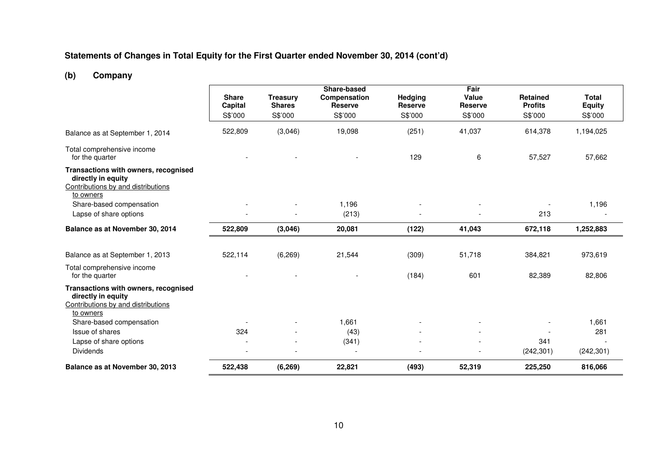#### **Statements of Changes in Total Equity for the First Quarter ended November 30, 2014 (cont'd)**

# **(b) Company**

|                                                                                                               |                                |                                  | Share-based                    |                           | Fair                    |                                   |                               |
|---------------------------------------------------------------------------------------------------------------|--------------------------------|----------------------------------|--------------------------------|---------------------------|-------------------------|-----------------------------------|-------------------------------|
|                                                                                                               | <b>Share</b><br><b>Capital</b> | <b>Treasury</b><br><b>Shares</b> | Compensation<br><b>Reserve</b> | Hedging<br><b>Reserve</b> | Value<br><b>Reserve</b> | <b>Retained</b><br><b>Profits</b> | <b>Total</b><br><b>Equity</b> |
|                                                                                                               | S\$'000                        | S\$'000                          | S\$'000                        | S\$'000                   | S\$'000                 | S\$'000                           | S\$'000                       |
| Balance as at September 1, 2014                                                                               | 522,809                        | (3,046)                          | 19,098                         | (251)                     | 41,037                  | 614,378                           | 1,194,025                     |
| Total comprehensive income<br>for the quarter                                                                 |                                |                                  |                                | 129                       | 6                       | 57,527                            | 57,662                        |
| Transactions with owners, recognised<br>directly in equity<br>Contributions by and distributions<br>to owners |                                |                                  |                                |                           |                         |                                   |                               |
| Share-based compensation                                                                                      |                                |                                  | 1,196                          |                           | $\blacksquare$          |                                   | 1,196                         |
| Lapse of share options                                                                                        |                                |                                  | (213)                          |                           |                         | 213                               |                               |
| Balance as at November 30, 2014                                                                               | 522,809                        | (3,046)                          | 20,081                         | (122)                     | 41,043                  | 672,118                           | 1,252,883                     |
|                                                                                                               |                                |                                  |                                |                           |                         |                                   |                               |
| Balance as at September 1, 2013                                                                               | 522,114                        | (6, 269)                         | 21,544                         | (309)                     | 51,718                  | 384,821                           | 973,619                       |
| Total comprehensive income<br>for the quarter                                                                 |                                |                                  |                                | (184)                     | 601                     | 82,389                            | 82,806                        |
| Transactions with owners, recognised<br>directly in equity<br>Contributions by and distributions<br>to owners |                                |                                  |                                |                           |                         |                                   |                               |
| Share-based compensation                                                                                      |                                |                                  | 1,661                          |                           |                         |                                   | 1,661                         |
| Issue of shares                                                                                               | 324                            |                                  | (43)                           |                           |                         |                                   | 281                           |
| Lapse of share options                                                                                        |                                |                                  | (341)                          |                           |                         | 341                               |                               |
| <b>Dividends</b>                                                                                              | $\overline{\phantom{a}}$       |                                  | $\overline{\phantom{a}}$       |                           |                         | (242, 301)                        | (242, 301)                    |
| Balance as at November 30, 2013                                                                               | 522,438                        | (6,269)                          | 22,821                         | (493)                     | 52,319                  | 225,250                           | 816,066                       |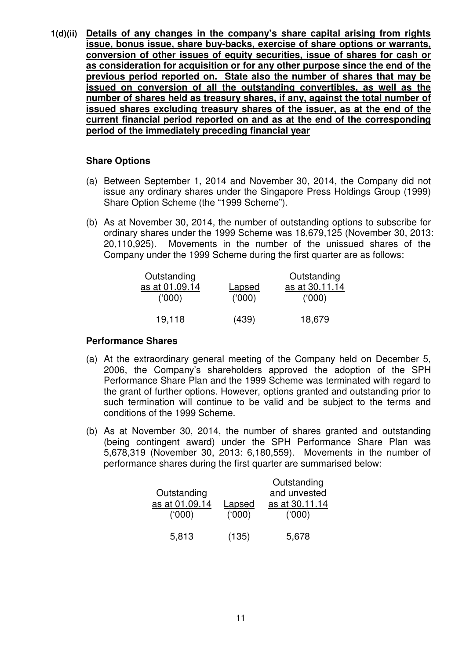**1(d)(ii) Details of any changes in the company's share capital arising from rights issue, bonus issue, share buy-backs, exercise of share options or warrants, conversion of other issues of equity securities, issue of shares for cash or as consideration for acquisition or for any other purpose since the end of the previous period reported on. State also the number of shares that may be issued on conversion of all the outstanding convertibles, as well as the number of shares held as treasury shares, if any, against the total number of issued shares excluding treasury shares of the issuer, as at the end of the current financial period reported on and as at the end of the corresponding period of the immediately preceding financial year**

### **Share Options**

- (a) Between September 1, 2014 and November 30, 2014, the Company did not issue any ordinary shares under the Singapore Press Holdings Group (1999) Share Option Scheme (the "1999 Scheme").
- (b) As at November 30, 2014, the number of outstanding options to subscribe for ordinary shares under the 1999 Scheme was 18,679,125 (November 30, 2013: 20,110,925). Movements in the number of the unissued shares of the Company under the 1999 Scheme during the first quarter are as follows:

| Outstanding<br>as at 01.09.14<br>(000) | Lapsed<br>(000) | Outstanding<br>as at 30.11.14<br>(000) |
|----------------------------------------|-----------------|----------------------------------------|
| 19,118                                 | (439)           | 18,679                                 |

#### **Performance Shares**

- (a) At the extraordinary general meeting of the Company held on December 5, 2006, the Company's shareholders approved the adoption of the SPH Performance Share Plan and the 1999 Scheme was terminated with regard to the grant of further options. However, options granted and outstanding prior to such termination will continue to be valid and be subject to the terms and conditions of the 1999 Scheme.
- (b) As at November 30, 2014, the number of shares granted and outstanding (being contingent award) under the SPH Performance Share Plan was 5,678,319 (November 30, 2013: 6,180,559). Movements in the number of performance shares during the first quarter are summarised below:

|        | Outstanding    |
|--------|----------------|
|        | and unvested   |
| Lapsed | as at 30.11.14 |
| (000)  | (000)          |
|        |                |
| (135)  | 5,678          |
|        |                |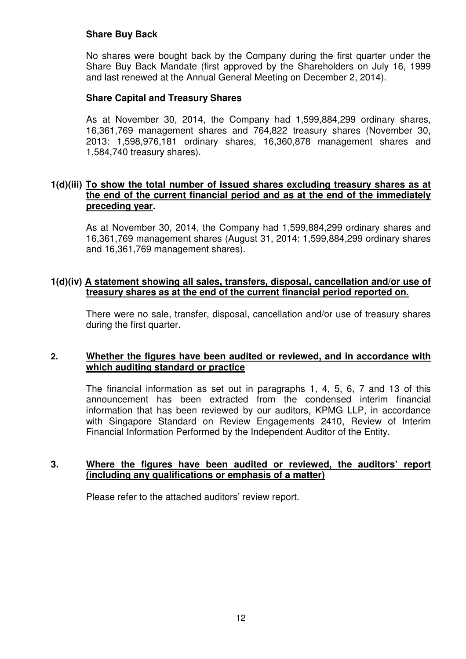## **Share Buy Back**

No shares were bought back by the Company during the first quarter under the Share Buy Back Mandate (first approved by the Shareholders on July 16, 1999 and last renewed at the Annual General Meeting on December 2, 2014).

### **Share Capital and Treasury Shares**

As at November 30, 2014, the Company had 1,599,884,299 ordinary shares, 16,361,769 management shares and 764,822 treasury shares (November 30, 2013: 1,598,976,181 ordinary shares, 16,360,878 management shares and 1,584,740 treasury shares).

#### **1(d)(iii) To show the total number of issued shares excluding treasury shares as at the end of the current financial period and as at the end of the immediately preceding year.**

As at November 30, 2014, the Company had 1,599,884,299 ordinary shares and 16,361,769 management shares (August 31, 2014: 1,599,884,299 ordinary shares and 16,361,769 management shares).

### **1(d)(iv) A statement showing all sales, transfers, disposal, cancellation and/or use of treasury shares as at the end of the current financial period reported on.**

There were no sale, transfer, disposal, cancellation and/or use of treasury shares during the first quarter.

#### **2. Whether the figures have been audited or reviewed, and in accordance with which auditing standard or practice**

The financial information as set out in paragraphs 1, 4, 5, 6, 7 and 13 of this announcement has been extracted from the condensed interim financial information that has been reviewed by our auditors, KPMG LLP, in accordance with Singapore Standard on Review Engagements 2410, Review of Interim Financial Information Performed by the Independent Auditor of the Entity.

#### **3. Where the figures have been audited or reviewed, the auditors' report (including any qualifications or emphasis of a matter)**

Please refer to the attached auditors' review report.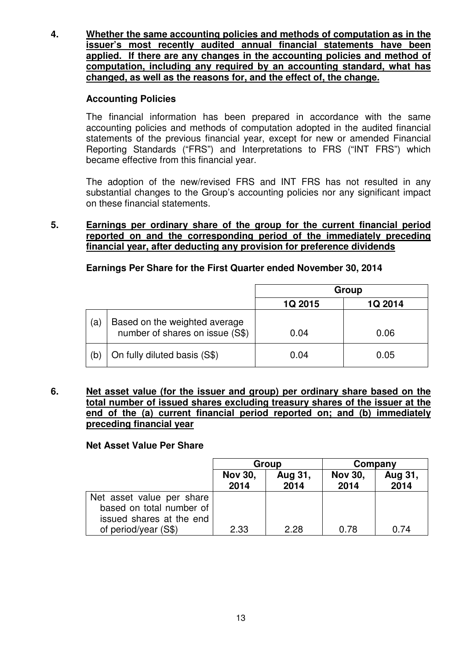**4. Whether the same accounting policies and methods of computation as in the issuer's most recently audited annual financial statements have been applied. If there are any changes in the accounting policies and method of computation, including any required by an accounting standard, what has changed, as well as the reasons for, and the effect of, the change.**

## **Accounting Policies**

The financial information has been prepared in accordance with the same accounting policies and methods of computation adopted in the audited financial statements of the previous financial year, except for new or amended Financial Reporting Standards ("FRS") and Interpretations to FRS ("INT FRS") which became effective from this financial year.

The adoption of the new/revised FRS and INT FRS has not resulted in any substantial changes to the Group's accounting policies nor any significant impact on these financial statements.

**5. Earnings per ordinary share of the group for the current financial period reported on and the corresponding period of the immediately preceding financial year, after deducting any provision for preference dividends**

# **Earnings Per Share for the First Quarter ended November 30, 2014**

|     |                                                                  | Group   |         |  |
|-----|------------------------------------------------------------------|---------|---------|--|
|     |                                                                  | 1Q 2015 | 1Q 2014 |  |
| (a) | Based on the weighted average<br>number of shares on issue (S\$) | 0.04    | 0.06    |  |
| (b) | On fully diluted basis (S\$)                                     | 0.04    | 0.05    |  |

**6. Net asset value (for the issuer and group) per ordinary share based on the total number of issued shares excluding treasury shares of the issuer at the end of the (a) current financial period reported on; and (b) immediately preceding financial year**

#### **Net Asset Value Per Share**

|                                                                                   |                        | Group           | Company                |                 |  |
|-----------------------------------------------------------------------------------|------------------------|-----------------|------------------------|-----------------|--|
|                                                                                   | <b>Nov 30,</b><br>2014 | Aug 31,<br>2014 | <b>Nov 30,</b><br>2014 | Aug 31,<br>2014 |  |
| Net asset value per share<br>based on total number of<br>issued shares at the end |                        |                 |                        |                 |  |
| of period/year (S\$)                                                              | 2.33                   | 2.28            | 0.78                   | 0.74            |  |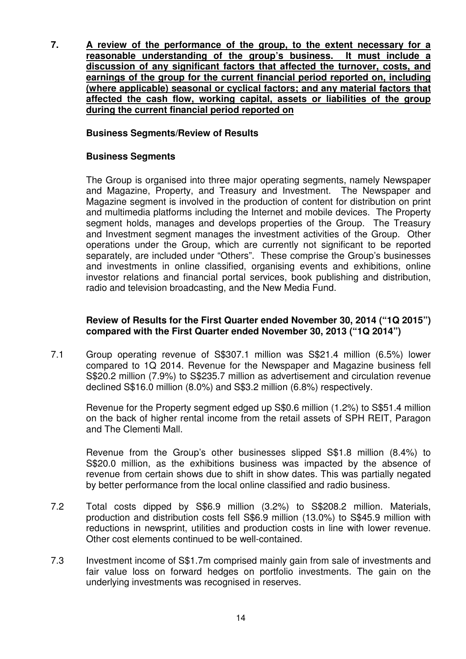**7. A review of the performance of the group, to the extent necessary for a reasonable understanding of the group's business. It must include a discussion of any significant factors that affected the turnover, costs, and earnings of the group for the current financial period reported on, including (where applicable) seasonal or cyclical factors; and any material factors that affected the cash flow, working capital, assets or liabilities of the group during the current financial period reported on**

# **Business Segments/Review of Results**

#### **Business Segments**

The Group is organised into three major operating segments, namely Newspaper and Magazine, Property, and Treasury and Investment. The Newspaper and Magazine segment is involved in the production of content for distribution on print and multimedia platforms including the Internet and mobile devices. The Property segment holds, manages and develops properties of the Group. The Treasury and Investment segment manages the investment activities of the Group. Other operations under the Group, which are currently not significant to be reported separately, are included under "Others". These comprise the Group's businesses and investments in online classified, organising events and exhibitions, online investor relations and financial portal services, book publishing and distribution, radio and television broadcasting, and the New Media Fund.

### **Review of Results for the First Quarter ended November 30, 2014 ("1Q 2015") compared with the First Quarter ended November 30, 2013 ("1Q 2014")**

7.1 Group operating revenue of S\$307.1 million was S\$21.4 million (6.5%) lower compared to 1Q 2014. Revenue for the Newspaper and Magazine business fell S\$20.2 million (7.9%) to S\$235.7 million as advertisement and circulation revenue declined S\$16.0 million (8.0%) and S\$3.2 million (6.8%) respectively.

Revenue for the Property segment edged up S\$0.6 million (1.2%) to S\$51.4 million on the back of higher rental income from the retail assets of SPH REIT, Paragon and The Clementi Mall.

Revenue from the Group's other businesses slipped S\$1.8 million (8.4%) to S\$20.0 million, as the exhibitions business was impacted by the absence of revenue from certain shows due to shift in show dates. This was partially negated by better performance from the local online classified and radio business.

- 7.2 Total costs dipped by S\$6.9 million (3.2%) to S\$208.2 million. Materials, production and distribution costs fell S\$6.9 million (13.0%) to S\$45.9 million with reductions in newsprint, utilities and production costs in line with lower revenue. Other cost elements continued to be well-contained.
- 7.3 Investment income of S\$1.7m comprised mainly gain from sale of investments and fair value loss on forward hedges on portfolio investments. The gain on the underlying investments was recognised in reserves.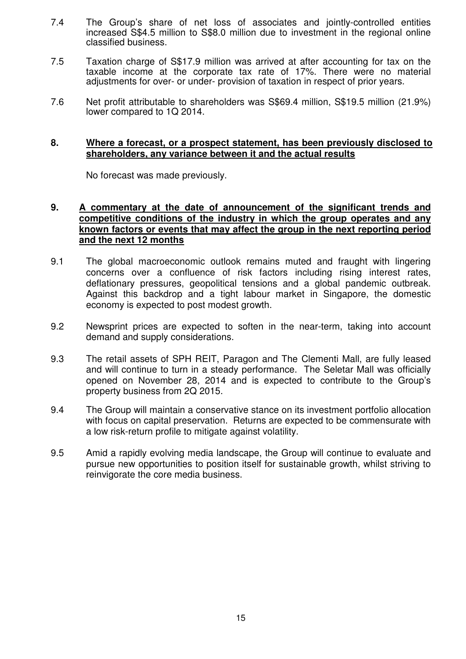- 7.4 The Group's share of net loss of associates and jointly-controlled entities increased S\$4.5 million to S\$8.0 million due to investment in the regional online classified business.
- 7.5 Taxation charge of S\$17.9 million was arrived at after accounting for tax on the taxable income at the corporate tax rate of 17%. There were no material adjustments for over- or under- provision of taxation in respect of prior years.
- 7.6 Net profit attributable to shareholders was S\$69.4 million, S\$19.5 million (21.9%) lower compared to 1Q 2014.

#### **8. Where a forecast, or a prospect statement, has been previously disclosed to shareholders, any variance between it and the actual results**

No forecast was made previously.

#### **9. A commentary at the date of announcement of the significant trends and competitive conditions of the industry in which the group operates and any known factors or events that may affect the group in the next reporting period and the next 12 months**

- 9.1 The global macroeconomic outlook remains muted and fraught with lingering concerns over a confluence of risk factors including rising interest rates, deflationary pressures, geopolitical tensions and a global pandemic outbreak. Against this backdrop and a tight labour market in Singapore, the domestic economy is expected to post modest growth.
- 9.2 Newsprint prices are expected to soften in the near-term, taking into account demand and supply considerations.
- 9.3 The retail assets of SPH REIT, Paragon and The Clementi Mall, are fully leased and will continue to turn in a steady performance. The Seletar Mall was officially opened on November 28, 2014 and is expected to contribute to the Group's property business from 2Q 2015.
- 9.4 The Group will maintain a conservative stance on its investment portfolio allocation with focus on capital preservation. Returns are expected to be commensurate with a low risk-return profile to mitigate against volatility.
- 9.5 Amid a rapidly evolving media landscape, the Group will continue to evaluate and pursue new opportunities to position itself for sustainable growth, whilst striving to reinvigorate the core media business.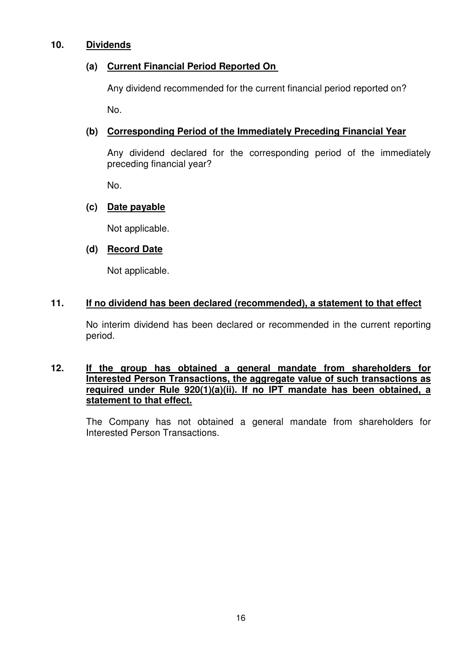### **10. Dividends**

# **(a) Current Financial Period Reported On**

Any dividend recommended for the current financial period reported on?

No.

# **(b) Corresponding Period of the Immediately Preceding Financial Year**

Any dividend declared for the corresponding period of the immediately preceding financial year?

No.

# **(c) Date payable**

Not applicable.

# **(d) Record Date**

Not applicable.

# **11. If no dividend has been declared (recommended), a statement to that effect**

No interim dividend has been declared or recommended in the current reporting period.

#### **12. If the group has obtained a general mandate from shareholders for Interested Person Transactions, the aggregate value of such transactions as required under Rule 920(1)(a)(ii). If no IPT mandate has been obtained, a statement to that effect.**

The Company has not obtained a general mandate from shareholders for Interested Person Transactions.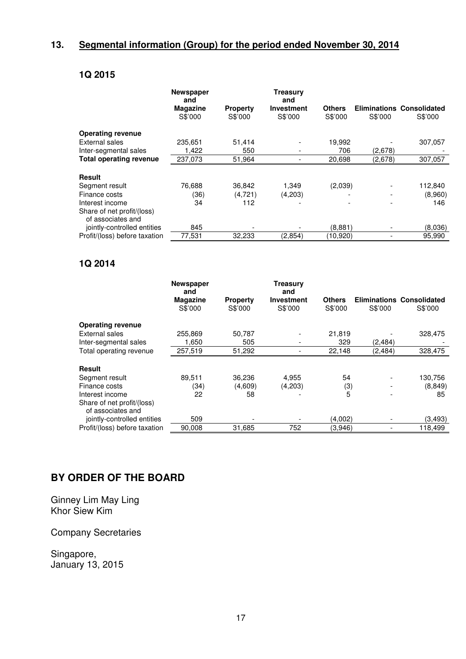# **13. Segmental information (Group) for the period ended November 30, 2014**

# **1Q 2015**

|                                                 | <b>Newspaper</b><br>and |                 | Treasury<br>and   |               |         |                                  |
|-------------------------------------------------|-------------------------|-----------------|-------------------|---------------|---------|----------------------------------|
|                                                 | <b>Magazine</b>         | <b>Property</b> | <b>Investment</b> | <b>Others</b> |         | <b>Eliminations Consolidated</b> |
|                                                 | S\$'000                 | S\$'000         | S\$'000           | S\$'000       | S\$'000 | S\$'000                          |
| <b>Operating revenue</b>                        |                         |                 |                   |               |         |                                  |
| External sales                                  | 235,651                 | 51,414          |                   | 19,992        |         | 307,057                          |
| Inter-segmental sales                           | 1,422                   | 550             |                   | 706           | (2,678) |                                  |
| <b>Total operating revenue</b>                  | 237,073                 | 51,964          |                   | 20,698        | (2,678) | 307,057                          |
| <b>Result</b>                                   |                         |                 |                   |               |         |                                  |
| Segment result                                  | 76,688                  | 36,842          | 1,349             | (2,039)       |         | 112,840                          |
| Finance costs                                   | (36)                    | (4, 721)        | (4,203)           |               |         | (8,960)                          |
| Interest income                                 | 34                      | 112             |                   |               |         | 146                              |
| Share of net profit/(loss)<br>of associates and |                         |                 |                   |               |         |                                  |
| jointly-controlled entities                     | 845                     |                 |                   | (8,881)       |         | (8,036)                          |
| Profit/(loss) before taxation                   | 77,531                  | 32,233          | (2,854)           | (10,920)      |         | 95.990                           |

### **1Q 2014**

|                                                 | <b>Newspaper</b><br>and |                 | <b>Treasury</b><br>and |               |          |                                  |
|-------------------------------------------------|-------------------------|-----------------|------------------------|---------------|----------|----------------------------------|
|                                                 | Magazine                | <b>Property</b> | <b>Investment</b>      | <b>Others</b> |          | <b>Eliminations Consolidated</b> |
|                                                 | S\$'000                 | S\$'000         | S\$'000                | S\$'000       | S\$'000  | S\$'000                          |
| <b>Operating revenue</b>                        |                         |                 |                        |               |          |                                  |
| External sales                                  | 255,869                 | 50,787          |                        | 21,819        |          | 328,475                          |
| Inter-segmental sales                           | 1,650                   | 505             |                        | 329           | (2, 484) |                                  |
| Total operating revenue                         | 257,519                 | 51,292          |                        | 22,148        | (2, 484) | 328,475                          |
| <b>Result</b>                                   |                         |                 |                        |               |          |                                  |
| Segment result                                  | 89,511                  | 36,236          | 4,955                  | 54            |          | 130,756                          |
| Finance costs                                   | (34)                    | (4,609)         | (4,203)                | (3)           |          | (8, 849)                         |
| Interest income                                 | 22                      | 58              |                        | 5             |          | 85                               |
| Share of net profit/(loss)<br>of associates and |                         |                 |                        |               |          |                                  |
| jointly-controlled entities                     | 509                     |                 |                        | (4,002)       |          | (3, 493)                         |
| Profit/(loss) before taxation                   | 90.008                  | 31,685          | 752                    | (3,946)       |          | 118,499                          |

# **BY ORDER OF THE BOARD**

Ginney Lim May Ling Khor Siew Kim

Company Secretaries

Singapore, January 13, 2015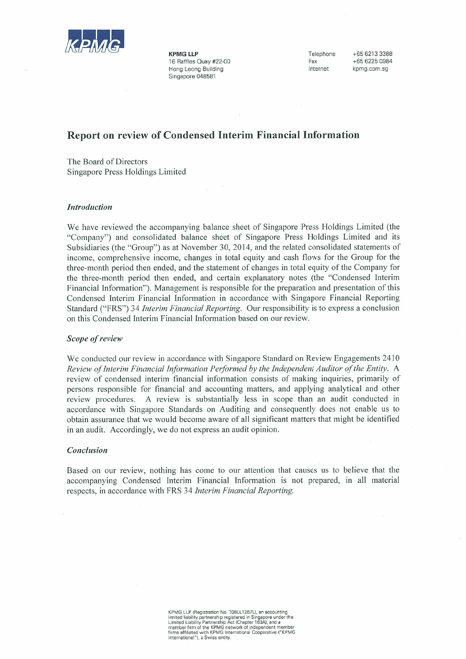

**KPMG LLP** 16 Raffles Quay #22-00 Hong Leong Building Singapore 048581

Telephone Fax Internet

+65 6213 3388 +65 6225 0984 knmg com sa

# **Report on review of Condensed Interim Financial Information**

The Board of Directors Singapore Press Holdings Limited

#### **Introduction**

We have reviewed the accompanying balance sheet of Singapore Press Holdings Limited (the "Company") and consolidated balance sheet of Singapore Press Holdings Limited and its Subsidiaries (the "Group") as at November 30, 2014, and the related consolidated statements of income, comprehensive income, changes in total equity and cash flows for the Group for the three-month period then ended, and the statement of changes in total equity of the Company for the three-month period then ended, and certain explanatory notes (the "Condensed Interim Financial Information"). Management is responsible for the preparation and presentation of this Condensed Interim Financial Information in accordance with Singapore Financial Reporting Standard ("FRS") 34 *Interim Financial Reporting*. Our responsibility is to express a conclusion on this Condensed Interim Financial Information based on our review.

#### Scope of review

We conducted our review in accordance with Singapore Standard on Review Engagements 2410 Review of Interim Financial Information Performed by the Independent Auditor of the Entity. A review of condensed interim financial information consists of making inquiries, primarily of persons responsible for financial and accounting matters, and applying analytical and other A review is substantially less in scope than an audit conducted in review procedures. accordance with Singapore Standards on Auditing and consequently does not enable us to obtain assurance that we would become aware of all significant matters that might be identified in an audit. Accordingly, we do not express an audit opinion.

#### Conclusion

Based on our review, nothing has come to our attention that causes us to believe that the accompanying Condensed Interim Financial Information is not prepared, in all material respects, in accordance with FRS 34 Interim Financial Reporting.

KPMG LLP (Registration No. T08LL1267L), an accounting<br>limited liability partnership registered in Singapore under the<br>Limited Liability Partnership Act (Chapter 163A), and a<br>member firm of the KPMG network of independent m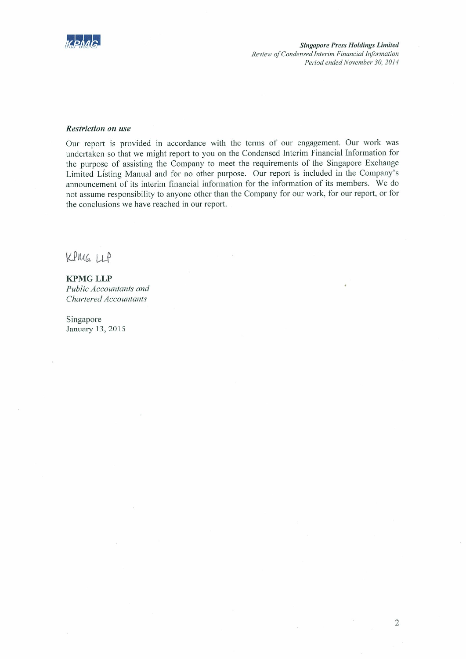

**Singapore Press Holdings Limited** Review of Condensed Interim Financial Information Period ended November 30, 2014

#### **Restriction on use**

Our report is provided in accordance with the terms of our engagement. Our work was undertaken so that we might report to you on the Condensed Interim Financial Information for the purpose of assisting the Company to meet the requirements of the Singapore Exchange Limited Listing Manual and for no other purpose. Our report is included in the Company's announcement of its interim financial information for the information of its members. We do not assume responsibility to anyone other than the Company for our work, for our report, or for the conclusions we have reached in our report.

KPMG LLP

**KPMG LLP** Public Accountants and Chartered Accountants

Singapore January 13, 2015

 $\overline{2}$ 

 $\lambda$